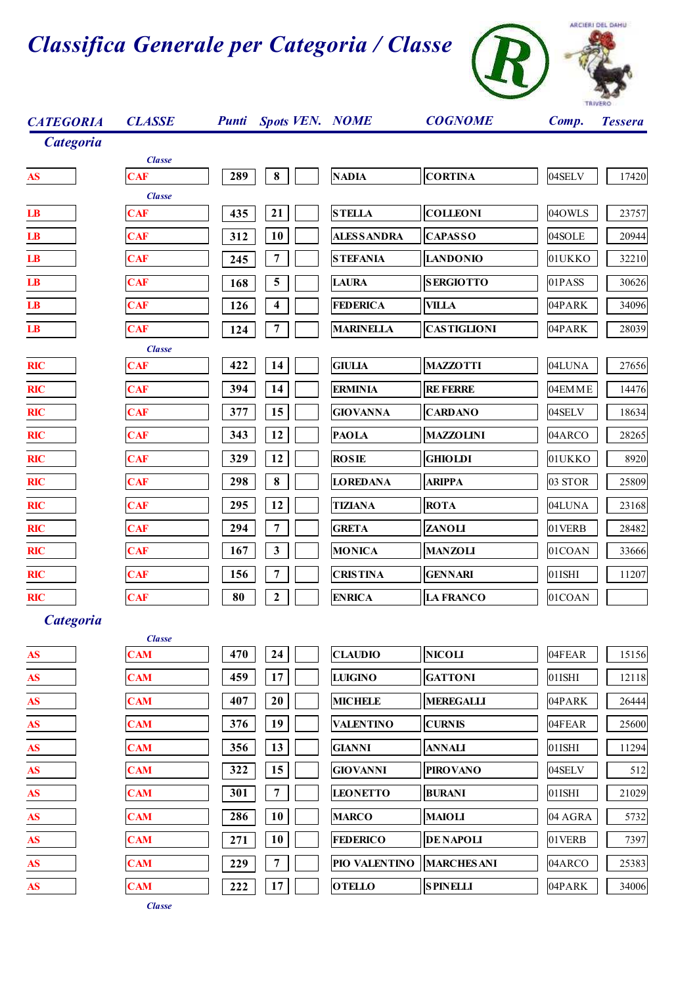

| <b>CATEGORIA</b>                                 | <b>CLASSE</b>               |     | <b>Punti</b> Spots VEN. NOME |                  | <b>COGNOME</b>     | Comp.     | <b>Tessera</b> |
|--------------------------------------------------|-----------------------------|-----|------------------------------|------------------|--------------------|-----------|----------------|
| <b>Categoria</b>                                 |                             |     |                              |                  |                    |           |                |
| AS                                               | <b>Classe</b><br><b>CAF</b> | 289 | 8                            | <b>NADIA</b>     | <b>CORTINA</b>     | 04SELV    | 17420          |
| $\mathbf{L}\mathbf{B}$                           | <b>Classe</b><br><b>CAF</b> | 435 | 21                           | <b>STELLA</b>    | <b>COLLEONI</b>    | 04OWLS    | 23757          |
| $\mathbf{LB}$                                    | <b>CAF</b>                  | 312 | <b>10</b>                    | ALES SANDRA      | <b>CAPASSO</b>     | 04SOLE    | 20944          |
| $\mathbf{L}\mathbf{B}$                           | <b>CAF</b>                  | 245 | $\overline{7}$               | <b>STEFANIA</b>  | <b>LANDONIO</b>    | 01UKKO    | 32210          |
| $\mathbf{LB}$                                    | <b>CAF</b>                  | 168 | $\overline{\mathbf{5}}$      | <b>LAURA</b>     | <b>SERGIOTTO</b>   | 01PASS    | 30626          |
| $\mathbf{LB}$                                    | <b>CAF</b>                  | 126 | 4                            | <b>FEDERICA</b>  | <b>VILLA</b>       | 04PARK    | 34096          |
| $\mathbf{LB}$                                    | <b>CAF</b>                  | 124 | 7                            | <b>MARINELLA</b> | <b>CASTIGLIONI</b> | 04PARK    | 28039          |
|                                                  | <b>Classe</b>               |     |                              |                  |                    |           |                |
| <b>RIC</b>                                       | <b>CAF</b>                  | 422 | 14                           | <b>GIULIA</b>    | <b>MAZZOTTI</b>    | 04LUNA    | 27656          |
| <b>RIC</b>                                       | <b>CAF</b>                  | 394 | 14                           | <b>ERMINIA</b>   | <b>RE FERRE</b>    | 04EMME    | 14476          |
| <b>RIC</b>                                       | <b>CAF</b>                  | 377 | 15                           | <b>GIOVANNA</b>  | <b>CARDANO</b>     | 04SELV    | 18634          |
| <b>RIC</b>                                       | <b>CAF</b>                  | 343 | 12                           | <b>PAOLA</b>     | <b>MAZZOLINI</b>   | 04ARCO    | 28265          |
| <b>RIC</b>                                       | <b>CAF</b>                  | 329 | 12                           | <b>ROSIE</b>     | <b>GHIOLDI</b>     | 01UKKO    | 8920           |
| <b>RIC</b>                                       | <b>CAF</b>                  | 298 | ${\bf 8}$                    | <b>LOREDANA</b>  | <b>ARIPPA</b>      | 03 STOR   | 25809          |
| <b>RIC</b>                                       | <b>CAF</b>                  | 295 | 12                           | <b>TIZIANA</b>   | <b>ROTA</b>        | 04LUNA    | 23168          |
| <b>RIC</b>                                       | <b>CAF</b>                  | 294 | 7                            | <b>GRETA</b>     | <b>ZANOLI</b>      | 01VERB    | 28482          |
| <b>RIC</b>                                       | <b>CAF</b>                  | 167 | $\mathbf{3}$                 | <b>MONICA</b>    | <b>MANZOLI</b>     | 01COAN    | 33666          |
| <b>RIC</b>                                       | <b>CAF</b>                  | 156 | 7                            | <b>CRISTINA</b>  | <b>GENNARI</b>     | 01ISHI    | 11207          |
| <b>RIC</b>                                       | <b>CAF</b>                  | 80  | $\boldsymbol{2}$             | <b>ENRICA</b>    | <b>LA FRANCO</b>   | 01COAN    |                |
| <b>Categoria</b>                                 | <b>Classe</b>               |     |                              |                  |                    |           |                |
| $\underline{\mathbf{AS}}$                        | <b>CAM</b>                  | 470 | 24                           | <b>CLAUDIO</b>   | <b>NICOLI</b>      | 04FEAR    | 15156          |
| $\overline{\mathbf{A}}\mathbf{S}$                | <b>CAM</b>                  | 459 | 17                           | <b>LUIGINO</b>   | <b>GATTONI</b>     | $01$ ISHI | 12118          |
| $\boldsymbol{\mathbf{AS}}$                       | <b>CAM</b>                  | 407 | $20\,$                       | <b>MICHELE</b>   | <b>MEREGALLI</b>   | 04PARK    | 26444          |
| $\boldsymbol{\mathbf{A}}\boldsymbol{\mathbf{S}}$ | <b>CAM</b>                  | 376 | 19                           | <b>VALENTINO</b> | <b>CURNIS</b>      | 04FEAR    | 25600          |
| AS                                               | <b>CAM</b>                  | 356 | 13                           | <b>GIANNI</b>    | <b>ANNALI</b>      | 01ISHI    | 11294          |
| $\underline{\mathbf{AS}}$                        | <b>CAM</b>                  | 322 | 15                           | <b>GIOVANNI</b>  | <b>PIROVANO</b>    | 04SELV    | 512            |
| AS                                               | <b>CAM</b>                  | 301 | $\overline{7}$               | <b>LEONETTO</b>  | <b>BURANI</b>      | 01ISHI    | 21029          |
| $\boldsymbol{\mathbf{AS}}$                       | <b>CAM</b>                  | 286 | 10                           | <b>MARCO</b>     | <b>MAIOLI</b>      | 04 AGRA   | 5732           |
| $\overline{\mathbf{A}}\mathbf{S}$                | <b>CAM</b>                  | 271 | 10                           | <b>FEDERICO</b>  | <b>DE NAPOLI</b>   | 01VERB    | 7397           |
| AS                                               | <b>CAM</b>                  | 229 | $\overline{7}$               | PIO VALENTINO    | <b>MARCHES ANI</b> | 04ARCO    | 25383          |
| $\overline{\mathbf{A}}$                          | <b>CAM</b>                  | 222 | 17                           | <b>OTELLO</b>    | <b>SPINELLI</b>    | 04PARK    | 34006          |
|                                                  |                             |     |                              |                  |                    |           |                |

*Classe*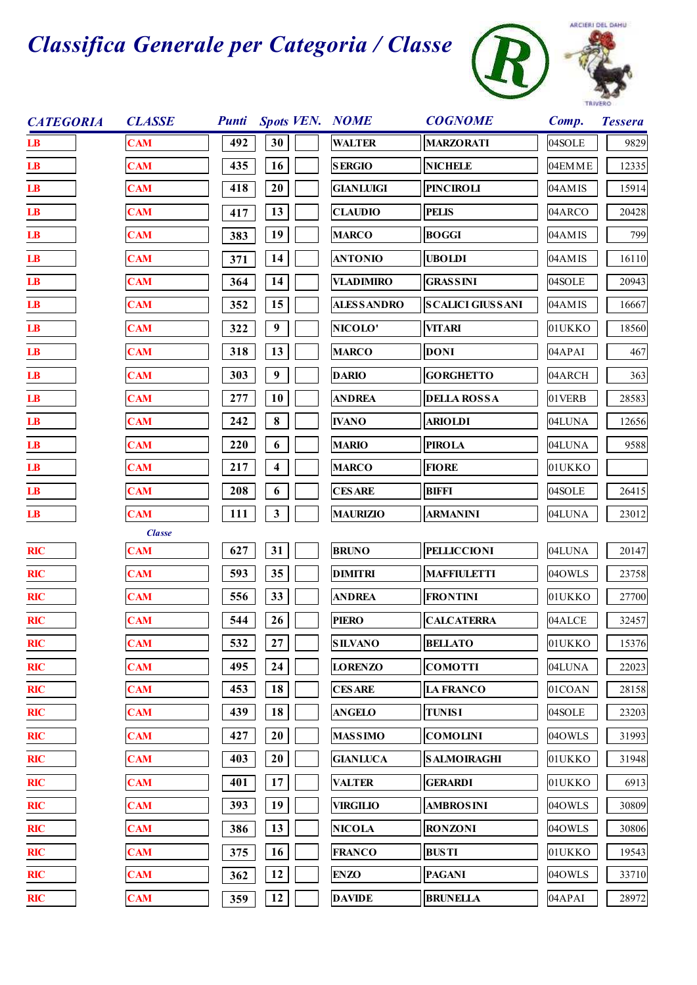



| <b>CATEGORIA</b>       | <b>CLASSE</b> | <b>Punti</b> | <b>Spots VEN. NOME</b> |                     | <b>COGNOME</b>          | Comp.  | <b>Tessera</b> |
|------------------------|---------------|--------------|------------------------|---------------------|-------------------------|--------|----------------|
| $\mathbf{L}\mathbf{B}$ | <b>CAM</b>    | 492          | 30                     | <b>WALTER</b>       | <b>MARZORATI</b>        | 04SOLE | 9829           |
| $\mathbf{LB}$          | <b>CAM</b>    | 435          | 16                     | <b>SERGIO</b>       | <b>NICHELE</b>          | 04EMME | 12335          |
| $\mathbf{LB}$          | <b>CAM</b>    | 418          | 20                     | <b>GIANLUIGI</b>    | <b>PINCIROLI</b>        | 04AMIS | 15914          |
| $\mathbf{LB}$          | <b>CAM</b>    | 417          | 13                     | <b>CLAUDIO</b>      | <b>PELIS</b>            | 04ARCO | 20428          |
| $\mathbf{LB}$          | <b>CAM</b>    | 383          | 19                     | <b>MARCO</b>        | <b>BOGGI</b>            | 04AMIS | 799            |
| $\mathbf{LB}$          | <b>CAM</b>    | 371          | 14                     | <b>ANTONIO</b>      | <b>UBOLDI</b>           | 04AMIS | 16110          |
| LB                     | <b>CAM</b>    | 364          | 14                     | <b>VLADIMIRO</b>    | <b>GRASSINI</b>         | 04SOLE | 20943          |
| $\mathbf{LB}$          | <b>CAM</b>    | 352          | 15                     | <b>ALES S ANDRO</b> | <b>SCALICI GIUSSANI</b> | 04AMIS | 16667          |
| $\mathbf{LB}$          | <b>CAM</b>    | 322          | 9                      | NICOLO'             | <b>VITARI</b>           | 01UKKO | 18560          |
| $\mathbf{LB}$          | <b>CAM</b>    | 318          | 13                     | <b>MARCO</b>        | <b>DONI</b>             | 04APAI | 467            |
| $\mathbf{LB}$          | <b>CAM</b>    | 303          | $\boldsymbol{9}$       | <b>DARIO</b>        | <b>GORGHETTO</b>        | 04ARCH | 363            |
| $\mathbf{LB}$          | <b>CAM</b>    | 277          | 10                     | <b>ANDREA</b>       | <b>DELLA ROSSA</b>      | 01VERB | 28583          |
| $\mathbf{LB}$          | <b>CAM</b>    | 242          | $\bf 8$                | <b>IVANO</b>        | <b>ARIOLDI</b>          | 04LUNA | 12656          |
| LB                     | <b>CAM</b>    | 220          | 6                      | <b>MARIO</b>        | <b>PIROLA</b>           | 04LUNA | 9588           |
| $\mathbf{LB}$          | <b>CAM</b>    | 217          | 4                      | <b>MARCO</b>        | <b>FIORE</b>            | 01UKKO |                |
| $\mathbf{LB}$          | <b>CAM</b>    | 208          | 6                      | <b>CESARE</b>       | <b>BIFFI</b>            | 04SOLE | 26415          |
| $\mathbf{L}\mathbf{B}$ | <b>CAM</b>    | 111          | $\mathbf{3}$           | <b>MAURIZIO</b>     | <b>ARMANINI</b>         | 04LUNA | 23012          |
|                        | <b>Classe</b> |              |                        |                     |                         |        |                |
| <b>RIC</b>             | <b>CAM</b>    | 627          | 31                     | <b>BRUNO</b>        | <b>PELLICCIONI</b>      | 04LUNA | 20147          |
| <b>RIC</b>             | <b>CAM</b>    | 593          | 35                     | <b>DIMITRI</b>      | <b>MAFFIULETTI</b>      | 04OWLS | 23758          |
| <b>RIC</b>             | <b>CAM</b>    | 556          | 33                     | <b>ANDREA</b>       | <b>FRONTINI</b>         | 01UKKO | 27700          |
| <b>RIC</b>             | <b>CAM</b>    | 544          | 26                     | <b>PIERO</b>        | <b>CALCATERRA</b>       | 04ALCE | 32457          |
| <b>RIC</b>             | <b>CAM</b>    | 532          | 27                     | <b>SILVANO</b>      | <b>BELLATO</b>          | 01UKKO | 15376          |
| <b>RIC</b>             | <b>CAM</b>    | 495          | 24                     | <b>LORENZO</b>      | <b>COMOTTI</b>          | 04LUNA | 22023          |
| <b>RIC</b>             | <b>CAM</b>    | 453          | 18                     | <b>CESARE</b>       | <b>LA FRANCO</b>        | 01COAN | 28158          |
| <b>RIC</b>             | <b>CAM</b>    | 439          | 18                     | <b>ANGELO</b>       | <b>TUNISI</b>           | 04SOLE | 23203          |
| <b>RIC</b>             | <b>CAM</b>    | 427          | 20                     | <b>MASSIMO</b>      | <b>COMOLINI</b>         | 04OWLS | 31993          |
| <b>RIC</b>             | <b>CAM</b>    | 403          | $20\,$                 | <b>GIANLUCA</b>     | <b>SALMOIRAGHI</b>      | 01UKKO | 31948          |
| <b>RIC</b>             | <b>CAM</b>    | 401          | 17                     | <b>VALTER</b>       | <b>GERARDI</b>          | 01UKKO | 6913           |
| <b>RIC</b>             | <b>CAM</b>    | 393          | 19                     | <b>VIRGILIO</b>     | <b>AMBROSINI</b>        | 04OWLS | 30809          |
| <b>RIC</b>             | <b>CAM</b>    | 386          | 13                     | <b>NICOLA</b>       | <b>RONZONI</b>          | 04OWLS | 30806          |
| RIC                    | <b>CAM</b>    | 375          | 16                     | <b>FRANCO</b>       | <b>BUSTI</b>            | 01UKKO | 19543          |
| <b>RIC</b>             | <b>CAM</b>    | 362          | 12                     | <b>ENZO</b>         | <b>PAGANI</b>           | 04OWLS | 33710          |
| <b>RIC</b>             | <b>CAM</b>    | 359          | 12                     | <b>DAVIDE</b>       | <b>BRUNELLA</b>         | 04APAI | 28972          |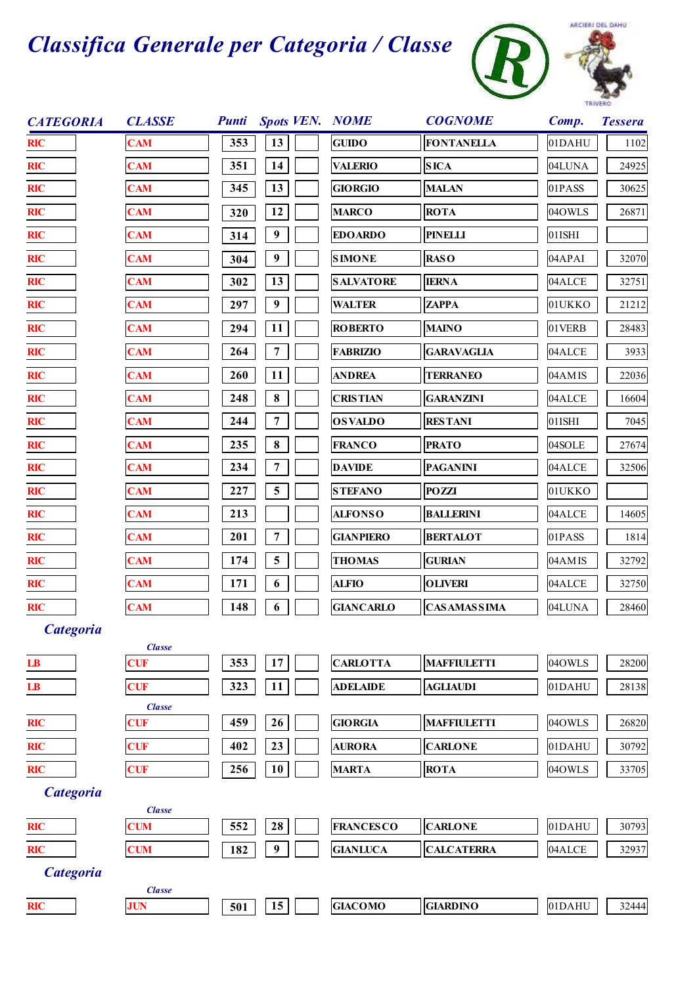



| <b>CATEGORIA</b> | <b>CLASSE</b>               |     |                  | Punti Spots VEN. NOME | <b>COGNOME</b>      | Comp.     | <b>Tessera</b> |
|------------------|-----------------------------|-----|------------------|-----------------------|---------------------|-----------|----------------|
| <b>RIC</b>       | <b>CAM</b>                  | 353 | 13               | <b>GUIDO</b>          | <b>FONTANELLA</b>   | 01DAHU    | 1102           |
| <b>RIC</b>       | <b>CAM</b>                  | 351 | 14               | <b>VALERIO</b>        | <b>SICA</b>         | 04LUNA    | 24925          |
| <b>RIC</b>       | <b>CAM</b>                  | 345 | 13               | <b>GIORGIO</b>        | <b>MALAN</b>        | 01PASS    | 30625          |
| <b>RIC</b>       | <b>CAM</b>                  | 320 | 12               | <b>MARCO</b>          | <b>ROTA</b>         | 04OWLS    | 26871          |
| <b>RIC</b>       | <b>CAM</b>                  | 314 | $\boldsymbol{9}$ | <b>EDOARDO</b>        | <b>PINELLI</b>      | 01ISHI    |                |
| <b>RIC</b>       | <b>CAM</b>                  | 304 | 9                | <b>SIMONE</b>         | <b>RASO</b>         | 04APAI    | 32070          |
| <b>RIC</b>       | <b>CAM</b>                  | 302 | 13               | <b>SALVATORE</b>      | <b>IERNA</b>        | 04ALCE    | 32751          |
| <b>RIC</b>       | <b>CAM</b>                  | 297 | $\boldsymbol{9}$ | <b>WALTER</b>         | <b>ZAPPA</b>        | 01UKKO    | 21212          |
| <b>RIC</b>       | <b>CAM</b>                  | 294 | 11               | <b>ROBERTO</b>        | <b>MAINO</b>        | 01VERB    | 28483          |
| <b>RIC</b>       | <b>CAM</b>                  | 264 | 7                | <b>FABRIZIO</b>       | <b>GARAVAGLIA</b>   | 04ALCE    | 3933           |
| <b>RIC</b>       | <b>CAM</b>                  | 260 | 11               | <b>ANDREA</b>         | <b>TERRANEO</b>     | 04AMIS    | 22036          |
| <b>RIC</b>       | <b>CAM</b>                  | 248 | $\bf 8$          | <b>CRISTIAN</b>       | <b>GARANZINI</b>    | 04ALCE    | 16604          |
| <b>RIC</b>       | <b>CAM</b>                  | 244 | 7                | <b>OSVALDO</b>        | <b>RESTANI</b>      | $01$ ISHI | 7045           |
| <b>RIC</b>       | <b>CAM</b>                  | 235 | $\bf 8$          | <b>FRANCO</b>         | <b>PRATO</b>        | 04SOLE    | 27674          |
| <b>RIC</b>       | <b>CAM</b>                  | 234 | 7                | <b>DAVIDE</b>         | <b>PAGANINI</b>     | 04ALCE    | 32506          |
| <b>RIC</b>       | <b>CAM</b>                  | 227 | 5                | <b>STEFANO</b>        | <b>POZZI</b>        | 01UKKO    |                |
| <b>RIC</b>       | <b>CAM</b>                  | 213 |                  | <b>ALFONSO</b>        | <b>BALLERINI</b>    | 04ALCE    | 14605          |
| <b>RIC</b>       | <b>CAM</b>                  | 201 | 7                | <b>GIANPIERO</b>      | <b>BERTALOT</b>     | 01PASS    | 1814           |
| <b>RIC</b>       | <b>CAM</b>                  | 174 | 5                | <b>THOMAS</b>         | <b>GURIAN</b>       | 04AMIS    | 32792          |
| <b>RIC</b>       | <b>CAM</b>                  | 171 | 6                | <b>ALFIO</b>          | <b>OLIVERI</b>      | 04ALCE    | 32750          |
| <b>RIC</b>       | <b>CAM</b>                  | 148 | 6                | <b>GIANCARLO</b>      | <b>CAS AMASSIMA</b> | 04LUNA    | 28460          |
| <b>Categoria</b> |                             |     |                  |                       |                     |           |                |
| $\mathbf{LB}$    | <b>Classe</b><br><b>CUF</b> | 353 | 17               | <b>CARLOTTA</b>       | <b>MAFFIULETTI</b>  | 04OWLS    | 28200          |
| $\mathbf{LB}$    | <b>CUF</b>                  | 323 | 11               | <b>ADELAIDE</b>       | <b>AGLIAUDI</b>     | 01DAHU    | 28138          |
|                  | <b>Classe</b>               |     |                  |                       |                     |           |                |
| <b>RIC</b>       | <b>CUF</b>                  | 459 | 26               | <b>GIORGIA</b>        | <b>MAFFIULETTI</b>  | 04OWLS    | 26820          |
| <b>RIC</b>       | <b>CUF</b>                  | 402 | 23               | <b>AURORA</b>         | <b>CARLONE</b>      | 01DAHU    | 30792          |
| <b>RIC</b>       | <b>CUF</b>                  | 256 | 10               | <b>MARTA</b>          | <b>ROTA</b>         | 04OWLS    | 33705          |
| <b>Categoria</b> |                             |     |                  |                       |                     |           |                |
| <b>RIC</b>       | <b>Classe</b><br><b>CUM</b> | 552 | 28               | <b>FRANCESCO</b>      | <b>CARLONE</b>      | 01DAHU    | 30793          |
| <b>RIC</b>       | <b>CUM</b>                  | 182 | $\boldsymbol{9}$ | <b>GIANLUCA</b>       | <b>CALCATERRA</b>   | 04ALCE    | 32937          |
| <b>Categoria</b> |                             |     |                  |                       |                     |           |                |
|                  | <b>Classe</b>               |     |                  |                       |                     |           |                |
| <b>RIC</b>       | <b>JUN</b>                  | 501 | 15               | <b>GIACOMO</b>        | <b>GIARDINO</b>     | 01DAHU    | 32444          |